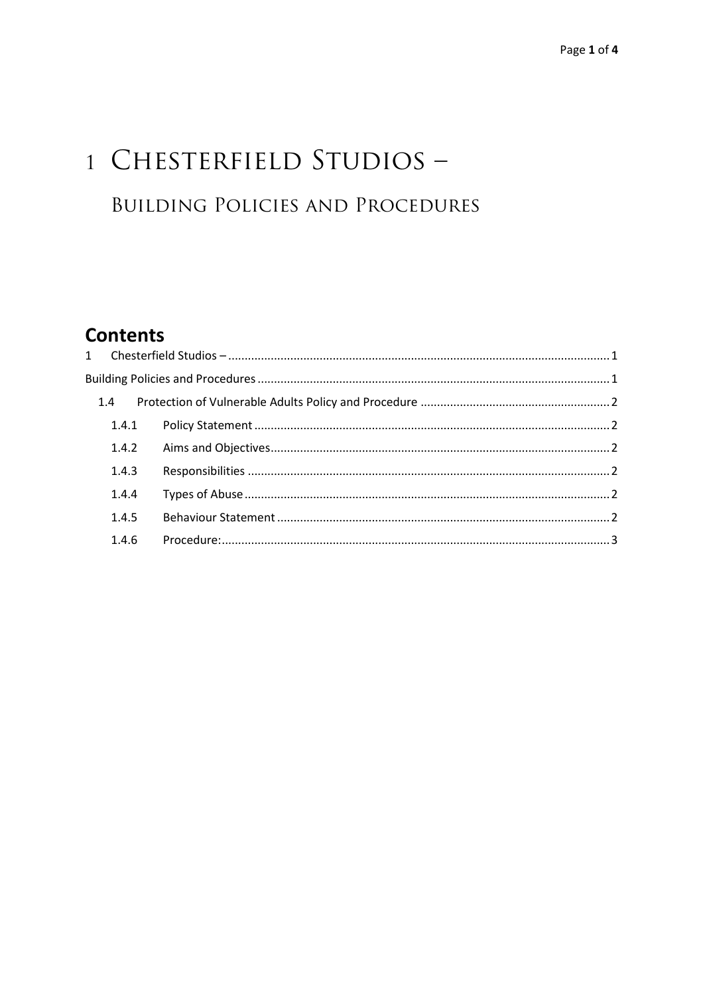# 1 CHESTERFIELD STUDIOS -**BUILDING POLICIES AND PROCEDURES**

# **Contents**

|  | 1.4   |  |  |
|--|-------|--|--|
|  | 1.4.1 |  |  |
|  | 1.4.2 |  |  |
|  | 1.4.3 |  |  |
|  | 1.4.4 |  |  |
|  | 1.4.5 |  |  |
|  | 1.4.6 |  |  |
|  |       |  |  |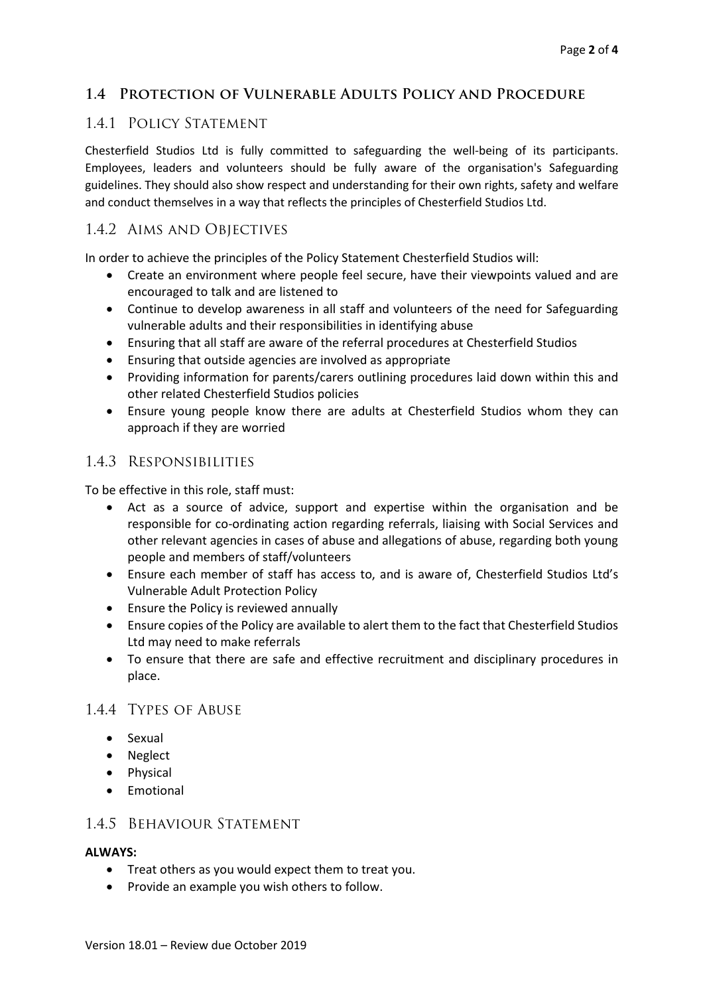# **1.4 Protection of Vulnerable Adults Policy and Procedure**

### 1.4.1 POLICY STATEMENT

Chesterfield Studios Ltd is fully committed to safeguarding the well-being of its participants. Employees, leaders and volunteers should be fully aware of the organisation's Safeguarding guidelines. They should also show respect and understanding for their own rights, safety and welfare and conduct themselves in a way that reflects the principles of Chesterfield Studios Ltd.

# 1.4.2 Aims and Objectives

In order to achieve the principles of the Policy Statement Chesterfield Studios will:

- Create an environment where people feel secure, have their viewpoints valued and are encouraged to talk and are listened to
- Continue to develop awareness in all staff and volunteers of the need for Safeguarding vulnerable adults and their responsibilities in identifying abuse
- Ensuring that all staff are aware of the referral procedures at Chesterfield Studios
- Ensuring that outside agencies are involved as appropriate
- Providing information for parents/carers outlining procedures laid down within this and other related Chesterfield Studios policies
- Ensure young people know there are adults at Chesterfield Studios whom they can approach if they are worried

# 1.4.3 Responsibilities

To be effective in this role, staff must:

- Act as a source of advice, support and expertise within the organisation and be responsible for co-ordinating action regarding referrals, liaising with Social Services and other relevant agencies in cases of abuse and allegations of abuse, regarding both young people and members of staff/volunteers
- Ensure each member of staff has access to, and is aware of, Chesterfield Studios Ltd's Vulnerable Adult Protection Policy
- Ensure the Policy is reviewed annually
- Ensure copies of the Policy are available to alert them to the fact that Chesterfield Studios Ltd may need to make referrals
- To ensure that there are safe and effective recruitment and disciplinary procedures in place.

# 1.4.4 Types of Abuse

- Sexual
- Neglect
- Physical
- Emotional

# 1.4.5 Behaviour Statement

#### **ALWAYS:**

- Treat others as you would expect them to treat you.
- Provide an example you wish others to follow.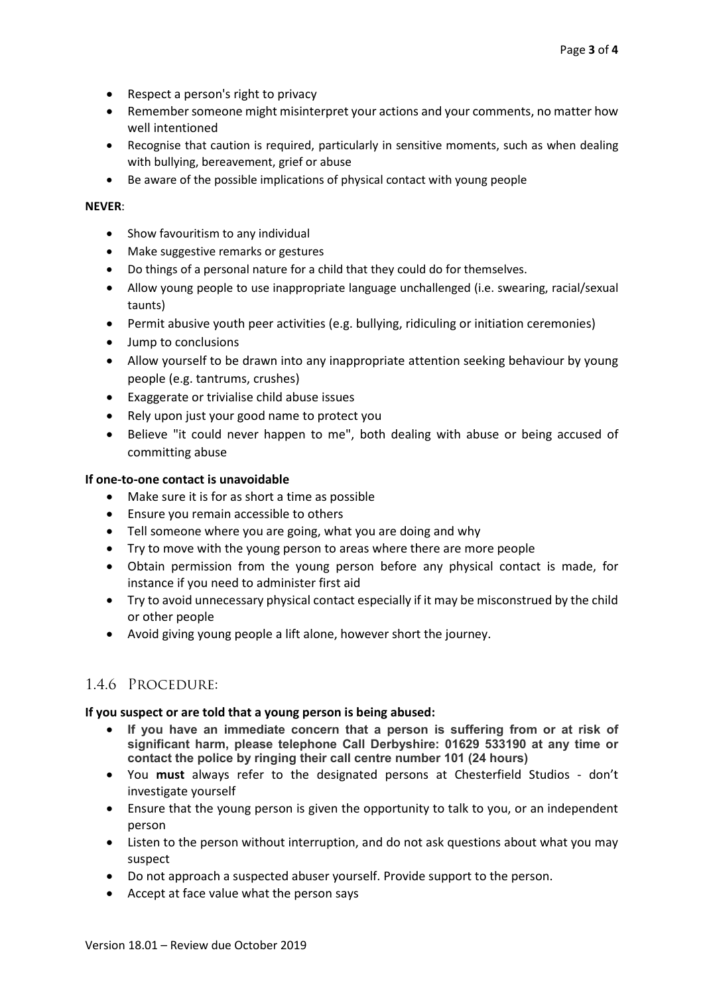- Respect a person's right to privacy
- Remember someone might misinterpret your actions and your comments, no matter how well intentioned
- Recognise that caution is required, particularly in sensitive moments, such as when dealing with bullying, bereavement, grief or abuse
- Be aware of the possible implications of physical contact with young people

#### **NEVER**:

- Show favouritism to any individual
- Make suggestive remarks or gestures
- Do things of a personal nature for a child that they could do for themselves.
- Allow young people to use inappropriate language unchallenged (i.e. swearing, racial/sexual taunts)
- Permit abusive youth peer activities (e.g. bullying, ridiculing or initiation ceremonies)
- Jump to conclusions
- Allow yourself to be drawn into any inappropriate attention seeking behaviour by young people (e.g. tantrums, crushes)
- Exaggerate or trivialise child abuse issues
- Rely upon just your good name to protect you
- Believe "it could never happen to me", both dealing with abuse or being accused of committing abuse

#### **If one-to-one contact is unavoidable**

- Make sure it is for as short a time as possible
- Ensure you remain accessible to others
- Tell someone where you are going, what you are doing and why
- Try to move with the young person to areas where there are more people
- Obtain permission from the young person before any physical contact is made, for instance if you need to administer first aid
- Try to avoid unnecessary physical contact especially if it may be misconstrued by the child or other people
- Avoid giving young people a lift alone, however short the journey.

# 1.4.6 Procedure:

#### **If you suspect or are told that a young person is being abused:**

- **If you have an immediate concern that a person is suffering from or at risk of significant harm, please telephone Call Derbyshire: 01629 533190 at any time or contact the police by ringing their call centre number 101 (24 hours)**
- You **must** always refer to the designated persons at Chesterfield Studios don't investigate yourself
- Ensure that the young person is given the opportunity to talk to you, or an independent person
- Listen to the person without interruption, and do not ask questions about what you may suspect
- Do not approach a suspected abuser yourself. Provide support to the person.
- Accept at face value what the person says